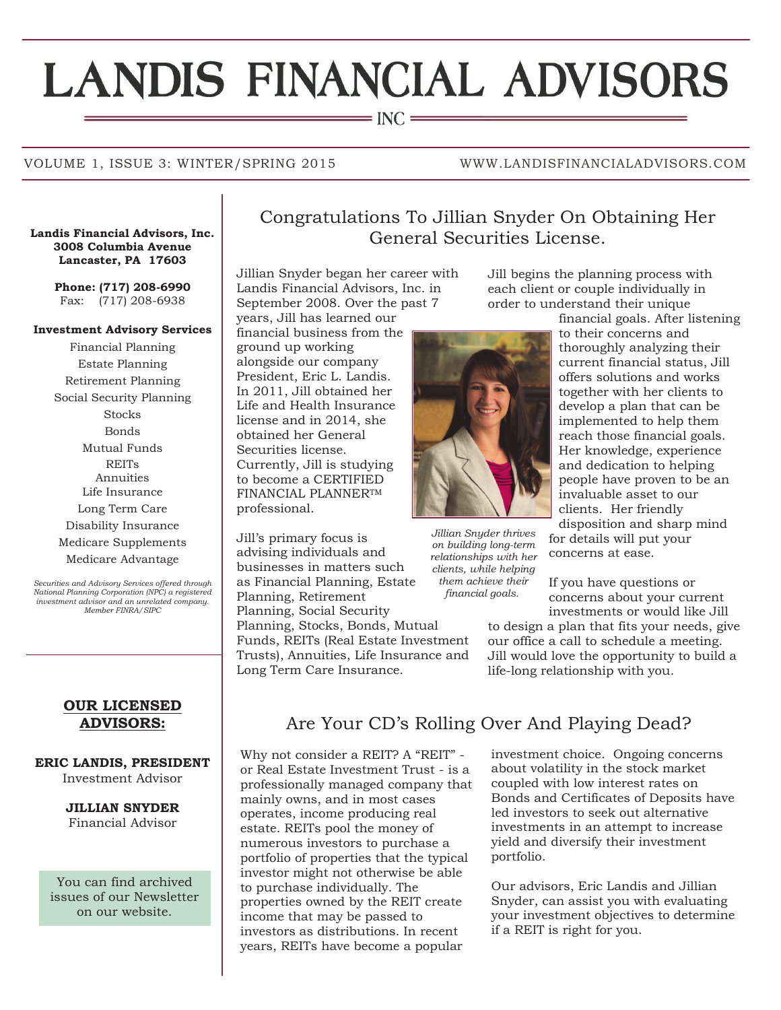# **LANDIS FINANCIAL ADVISORS**

 $=$  INC  $=$ 

# VOLUME 1, ISSUE 3: WINTER/SPRING 2015 WWW.LANDISFINANCIALADVISORS.COM

**3008 Columbia Avenue Lancaster, PA 17603**

> **Phone: (717) 208-6990** Fax: (717) 208-6938

# **Investment Advisory Services**

Financial Planning Estate Planning Retirement Planning Social Security Planning **Stocks** Bonds Mutual Funds REITs Annuities Life Insurance Long Term Care Disability Insurance Medicare Supplements Medicare Advantage

*Securities and Advisory Services offered through National Planning Corporation (NPC) a registered investment advisor and an unrelated company. Member FINRA/SIPC*

## **OUR LICENSED ADVISORS:**

# **ERIC LANDIS, PRESIDENT**

Investment Advisor

**JILLIAN SNYDER** Financial Advisor

You can find archived issues of our Newsletter on our website.

# Congratulations To Jillian Snyder On Obtaining Her Landis Financial Advisors, Inc. General Securities License.

Jillian Snyder began her career with Landis Financial Advisors, Inc. in September 2008. Over the past 7 years, Jill has learned our

financial business from the ground up working alongside our company President, Eric L. Landis. In 2011, Jill obtained her Life and Health Insurance license and in 2014, she obtained her General Securities license. Currently, Jill is studying to become a CERTIFIED FINANCIAL PLANNERTM professional.

Jill's primary focus is advising individuals and businesses in matters such as Financial Planning, Estate Planning, Retirement Planning, Social Security Planning, Stocks, Bonds, Mutual Funds, REITs (Real Estate Investment Trusts), Annuities, Life Insurance and Jill begins the planning process with each client or couple individually in order to understand their unique



*Jillian Snyder thrives on building long-term relationships with her clients, while helping them achieve their financial goals.*

to their concerns and thoroughly analyzing their current financial status, Jill offers solutions and works together with her clients to develop a plan that can be implemented to help them reach those financial goals. Her knowledge, experience and dedication to helping people have proven to be an invaluable asset to our clients. Her friendly disposition and sharp mind

financial goals. After listening

for details will put your concerns at ease.

If you have questions or concerns about your current investments or would like Jill

to design a plan that fits your needs, give our office a call to schedule a meeting. Jill would love the opportunity to build a life-long relationship with you.

Long Term Care Insurance.

# Are Your CD's Rolling Over And Playing Dead?

Why not consider a REIT? A "REIT" or Real Estate Investment Trust - is a professionally managed company that mainly owns, and in most cases operates, income producing real estate. REITs pool the money of numerous investors to purchase a portfolio of properties that the typical investor might not otherwise be able to purchase individually. The properties owned by the REIT create income that may be passed to investors as distributions. In recent years, REITs have become a popular

investment choice. Ongoing concerns about volatility in the stock market coupled with low interest rates on Bonds and Certificates of Deposits have led investors to seek out alternative investments in an attempt to increase yield and diversify their investment portfolio.

Our advisors, Eric Landis and Jillian Snyder, can assist you with evaluating your investment objectives to determine if a REIT is right for you.